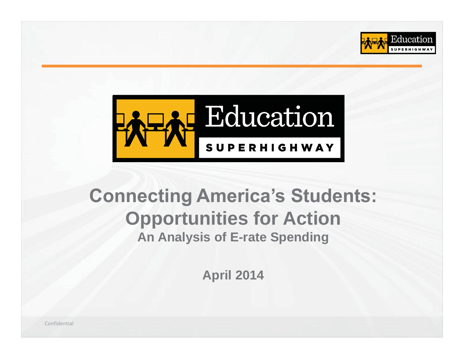



# **Connecting America's Students: Opportunities for Action An Analysis of E-rate Spending**

**April 2014**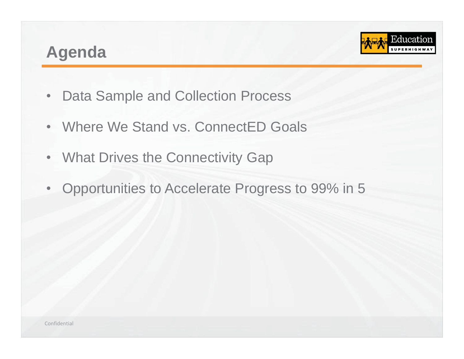## **Agenda**



- •Data Sample and Collection Process
- •Where We Stand vs. ConnectED Goals
- •**What Drives the Connectivity Gap**
- $\bullet$ Opportunities to Accelerate Progress to 99% in 5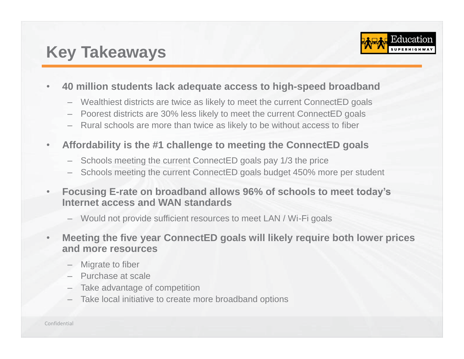# **Key Takeaways**



#### •**40 million students lack adequate access to high-speed broadband**

- Wealthiest districts are twice as likely to meet the current ConnectED goals
- Poorest districts are 30% less likely to meet the current ConnectED goals
- Rural schools are more than twice as likely to be without access to fiber
- $\bullet$  **Affordability is the #1 challenge to meeting the ConnectED goals** 
	- Schools meeting the current ConnectED goals pay 1/3 the price
	- Schools meeting the current ConnectED goals budget 450% more per student
- • **Focusing E-rate on broadband allows 96% of schools to meet today's Internet access and WAN standards** 
	- Would not provide sufficient resources to meet LAN / Wi-Fi goals
- • **Meeting the five year ConnectED goals will likely require both lower prices and more resources** 
	- Migrate to fiber
	- Purchase at scale
	- Take advantage of competition
	- Take local initiative to create more broadband options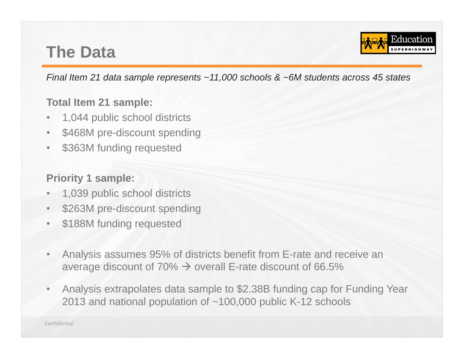## **The Data**



*Final Item 21 data sample represents ~11,000 schools & ~6M students across 45 states* 

#### **Total Item 21 sample:**

- •1,044 public school districts
- •\$468M pre-discount spending
- •\$363M funding requested

#### **Priority 1 sample:**

- •1,039 public school districts
- •\$263M pre-discount spending
- •\$188M funding requested
- • Analysis assumes 95% of districts benefit from E-rate and receive an average discount of 70%  $\rightarrow$  overall E-rate discount of 66.5%
- • Analysis extrapolates data sample to \$2.38B funding cap for Funding Year 2013 and national population of ~100,000 public K-12 schools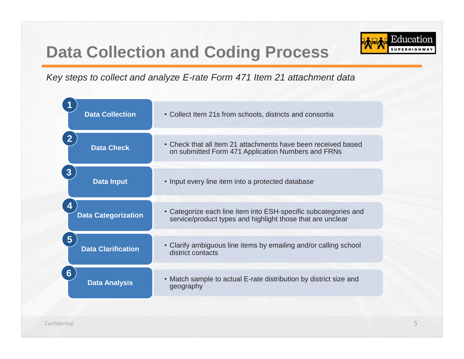# **Data Collection and Coding Process**



*Key steps to collect and analyze E-rate Form 471 Item 21 attachment data* 

| <b>Data Collection</b>            | • Collect Item 21s from schools, districts and consortia                                                            |
|-----------------------------------|---------------------------------------------------------------------------------------------------------------------|
| <b>Data Check</b>                 | • Check that all Item 21 attachments have been received based<br>on submitted Form 471 Application Numbers and FRNs |
| $\mathbf{3}$<br><b>Data Input</b> | • Input every line item into a protected database                                                                   |
| 4                                 | • Categorize each line item into ESH-specific subcategories and                                                     |
| <b>Data Categorization</b>        | service/product types and highlight those that are unclear                                                          |
| 5 <sup>5</sup>                    | • Clarify ambiguous line items by emailing and/or calling school                                                    |
| <b>Data Clarification</b>         | district contacts                                                                                                   |
| $6 \overline{6}$                  | • Match sample to actual E-rate distribution by district size and                                                   |
| <b>Data Analysis</b>              | geography                                                                                                           |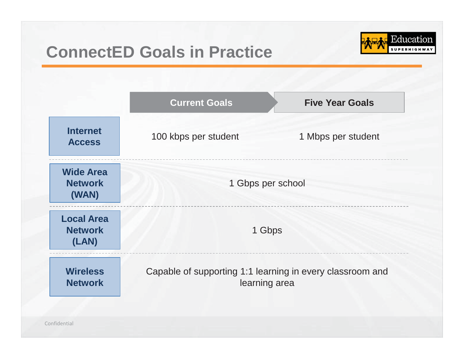# **ConnectED Goals in Practice**



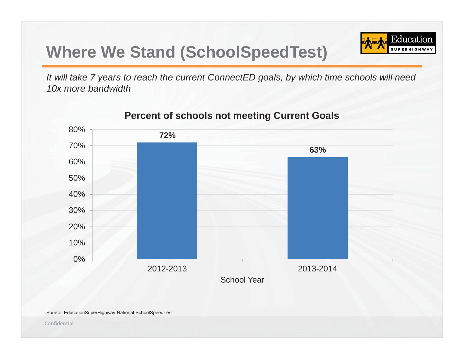# **Where We Stand (SchoolSpeedTest)**

Education **SUPERHIGH** 

*It will take 7 years to reach the current ConnectED goals, by which time schools will need 10x more bandwidth* 



#### **Percent of schools not meeting Current Goals**

Source: EducationSuperHighway National SchoolSpeedTest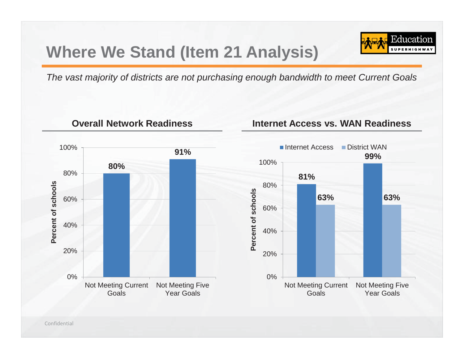# **Where We Stand (Item 21 Analysis)**



*The vast majority of districts are not purchasing enough bandwidth to meet Current Goals* 

100%**91% 80%** 80%**Percent of schools**  Percent of schools 60%40%20% 0%Not Meeting Current Not Meeting Five GoalsYear Goals

**Overall Network Readiness**

#### **Internet Access vs. WAN Readiness**

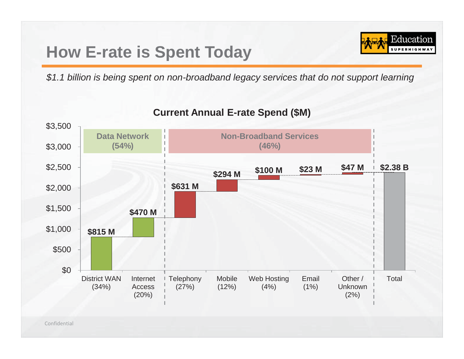# **How E-rate is Spent Today**



*\$1.1 billion is being spent on non-broadband legacy services that do not support learning* 



#### **Current Annual E-rate Spend (\$M)**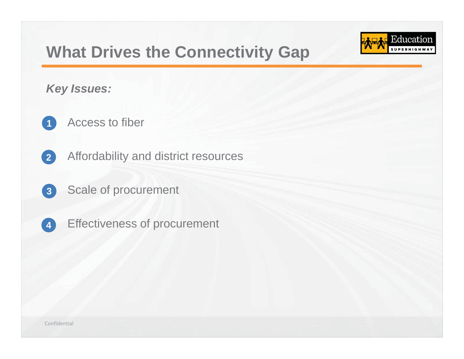# **What Drives the Connectivity Gap**

Education

*Key Issues:* 

- •**1**  Access to fiber
- •**2**  Affordability and district resources
- •**3**  Scale of procurement
- •**4** Effectiveness of procurement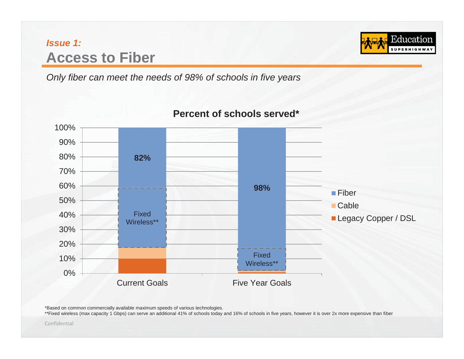## *Issue 1:* **Access to Fiber**

*Only fiber can meet the needs of 98% of schools in five years* 



#### **Percent of schools served\***

Education **SUPERHIGHW** 

\*Based on common commercially available maximum speeds of various technologies.

\*\*Fixed wireless (max capacity 1 Gbps) can serve an additional 41% of schools today and 16% of schools in five years, however it is over 2x more expensive than fiber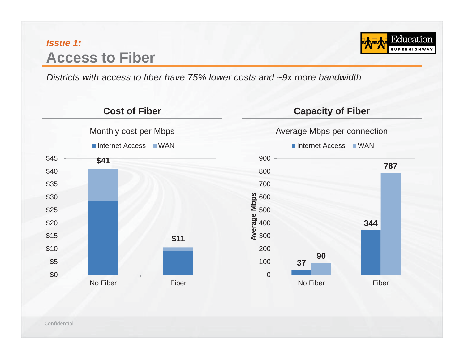## *Issue 1:* **Access to Fiber**



*Districts with access to fiber have 75% lower costs and ~9x more bandwidth* 

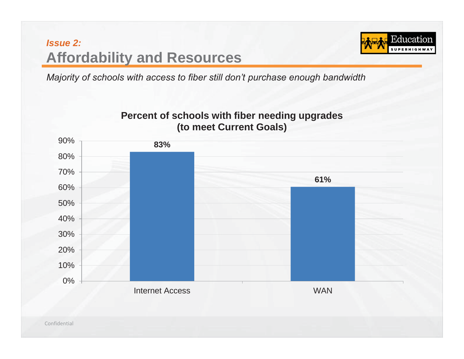

*Majority of schools with access to fiber still don't purchase enough bandwidth*

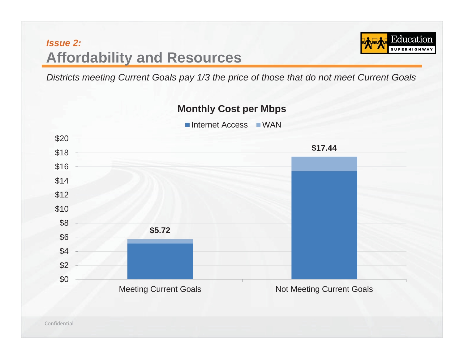

*Districts meeting Current Goals pay 1/3 the price of those that do not meet Current Goals* 

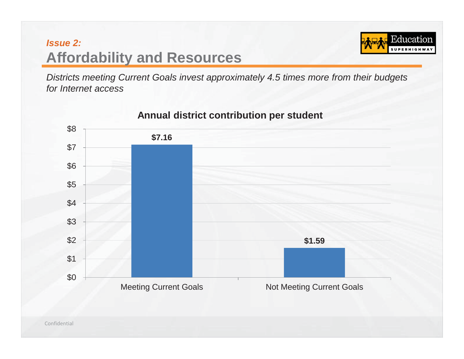

*Districts meeting Current Goals invest approximately 4.5 times more from their budgets for Internet access* 



#### **Annual district contribution per student**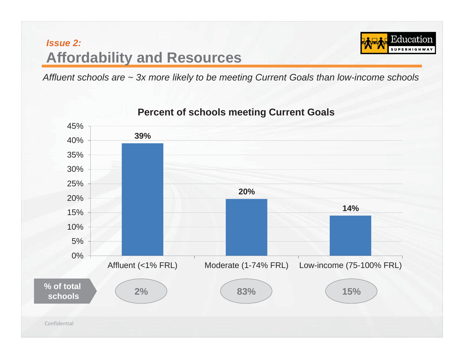

*Affluent schools are ~ 3x more likely to be meeting Current Goals than low-income schools* 



**Percent of schools meeting Current Goals**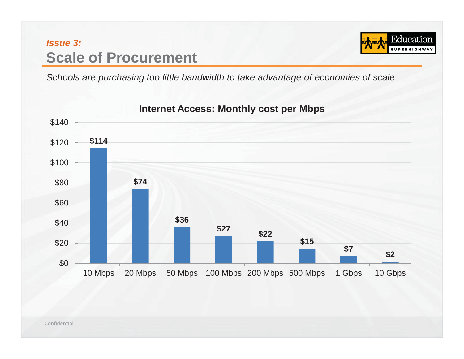## *Issue 3:*  **Scale of Procurement**



*Schools are purchasing too little bandwidth to take advantage of economies of scale* 



#### **Internet Access: Monthly cost per Mbps**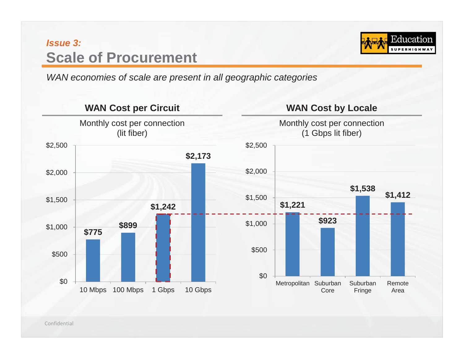## *Issue 3:*  **Scale of Procurement**



*WAN economies of scale are present in all geographic categories* 

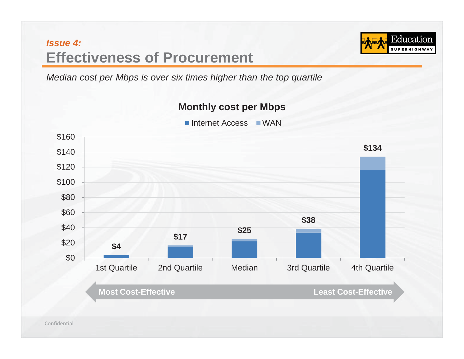## *Issue 4:* **Effectiveness of Procurement**

Education **SUPERHIGHW** 

*Median cost per Mbps is over six times higher than the top quartile* 



**Monthly cost per Mbps**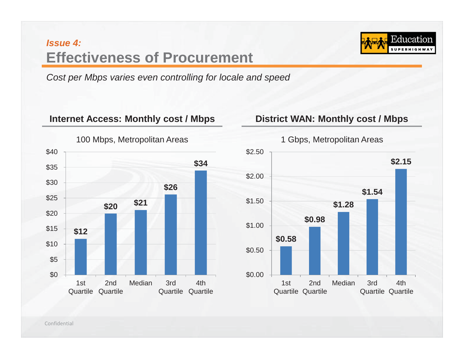## *Issue 4:* **Effectiveness of Procurement**



*Cost per Mbps varies even controlling for locale and speed* 

#### **Internet Access: Monthly cost / Mbps District WAN: Monthly cost / Mbps**



#### 100 Mbps, Metropolitan Areas

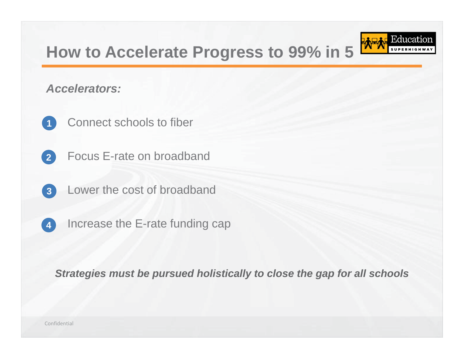# **How to Accelerate Progress to 99% in 5**

Education

#### *Accelerators:*

- •**1**  Connect schools to fiber
- •**2** Focus E-rate on broadband
- •**3**  Lower the cost of broadband
- •**4** Increase the E-rate funding cap

*Strategies must be pursued holistically to close the gap for all schools*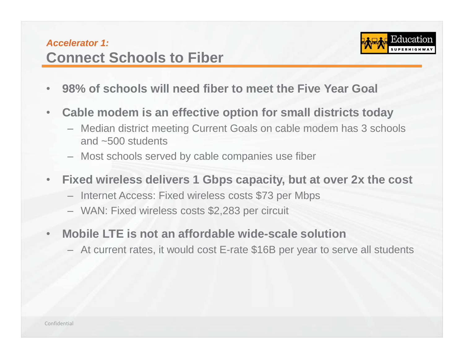### *Accelerator 1:***Connect Schools to Fiber**



- •**98% of schools will need fiber to meet the Five Year Goal**
- $\bullet$  **Cable modem is an effective option for small districts today** 
	- Median district meeting Current Goals on cable modem has 3 schools and ~500 students
	- Most schools served by cable companies use fiber
- $\bullet$  **Fixed wireless delivers 1 Gbps capacity, but at over 2x the cost** 
	- Internet Access: Fixed wireless costs \$73 per Mbps
	- WAN: Fixed wireless costs \$2,283 per circuit
- • **Mobile LTE is not an affordable wide-scale solution** 
	- At current rates, it would cost E-rate \$16B per year to serve all students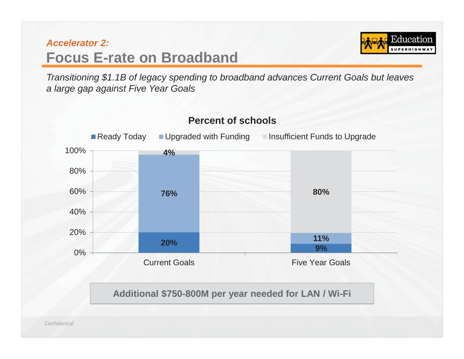## *Accelerator 2:***Focus E-rate on Broadband**



*Transitioning \$1.1B of legacy spending to broadband advances Current Goals but leaves a large gap against Five Year Goals* 

**Percent of schools** 

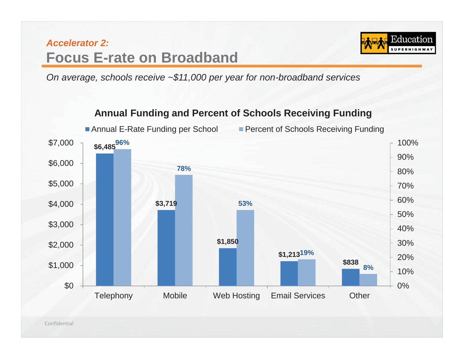## *Accelerator 2:***Focus E-rate on Broadband**



*On average, schools receive ~\$11,000 per year for non-broadband services* 

#### **Annual Funding and Percent of Schools Receiving Funding**

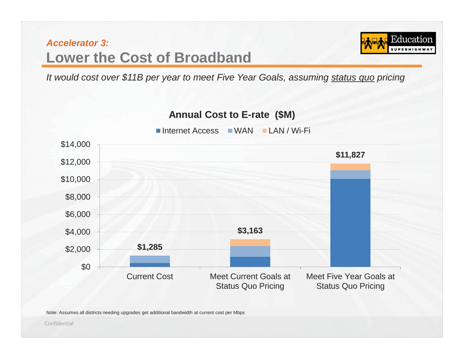

*It would cost over \$11B per year to meet Five Year Goals, assuming status quo pricing* 



Note: Assumes all districts needing upgrades get additional bandwidth at current cost per Mbps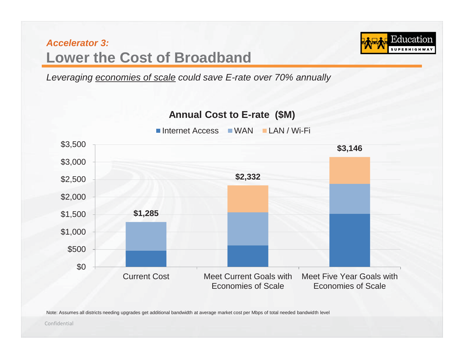

*Leveraging economies of scale could save E-rate over 70% annually* 



Note: Assumes all districts needing upgrades get additional bandwidth at average market cost per Mbps of total needed bandwidth level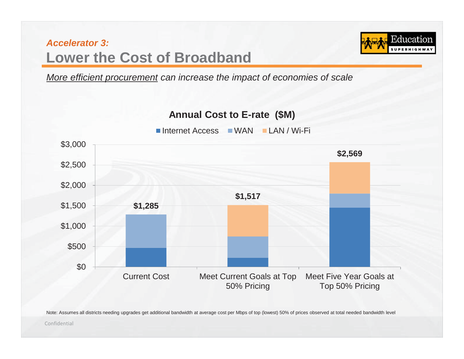Education

*More efficient procurement can increase the impact of economies of scale* 



Note: Assumes all districts needing upgrades get additional bandwidth at average cost per Mbps of top (lowest) 50% of prices observed at total needed bandwidth level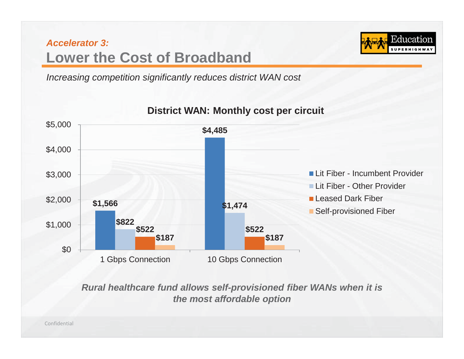

*Increasing competition significantly reduces district WAN cost* 



#### **District WAN: Monthly cost per circuit**

*Rural healthcare fund allows self-provisioned fiber WANs when it is the most affordable option*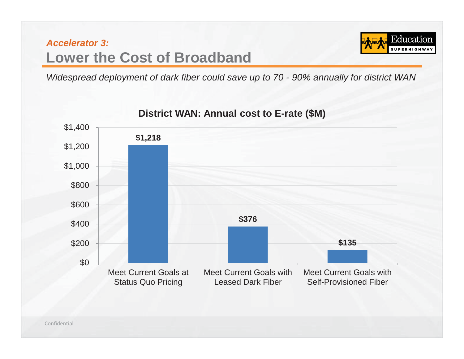

*Widespread deployment of dark fiber could save up to 70 - 90% annually for district WAN* 

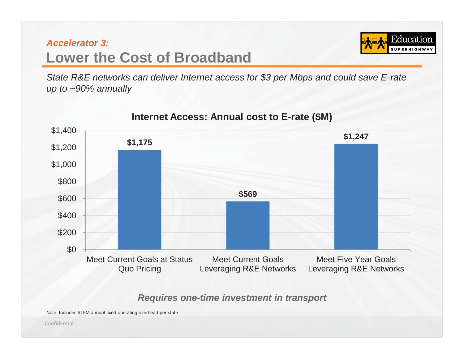Educatior

*State R&E networks can deliver Internet access for \$3 per Mbps and could save E-rate up to ~90% annually* 



#### **Internet Access: Annual cost to E-rate (\$M)**

#### *Requires one-time investment in transport*

Note: Includes \$15M annual fixed operating overhead per state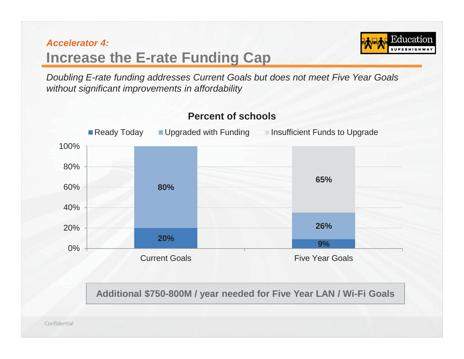### *Accelerator 4:* **Increase the E-rate Funding Cap**

Education

*Doubling E-rate funding addresses Current Goals but does not meet Five Year Goals without significant improvements in affordability* 



**Percent of schools** 

**Additional \$750-800M / year needed for Five Year LAN / Wi-Fi Goals**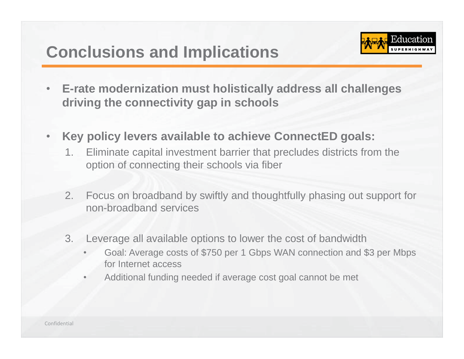# **Conclusions and Implications**



- $\bullet$  **E-rate modernization must holistically address all challenges driving the connectivity gap in schools**
- $\bullet$  **Key policy levers available to achieve ConnectED goals:** 
	- 1. Eliminate capital investment barrier that precludes districts from the option of connecting their schools via fiber
	- 2. Focus on broadband by swiftly and thoughtfully phasing out support for non-broadband services
	- 3. Leverage all available options to lower the cost of bandwidth
		- • Goal: Average costs of \$750 per 1 Gbps WAN connection and \$3 per Mbps for Internet access
		- •Additional funding needed if average cost goal cannot be met